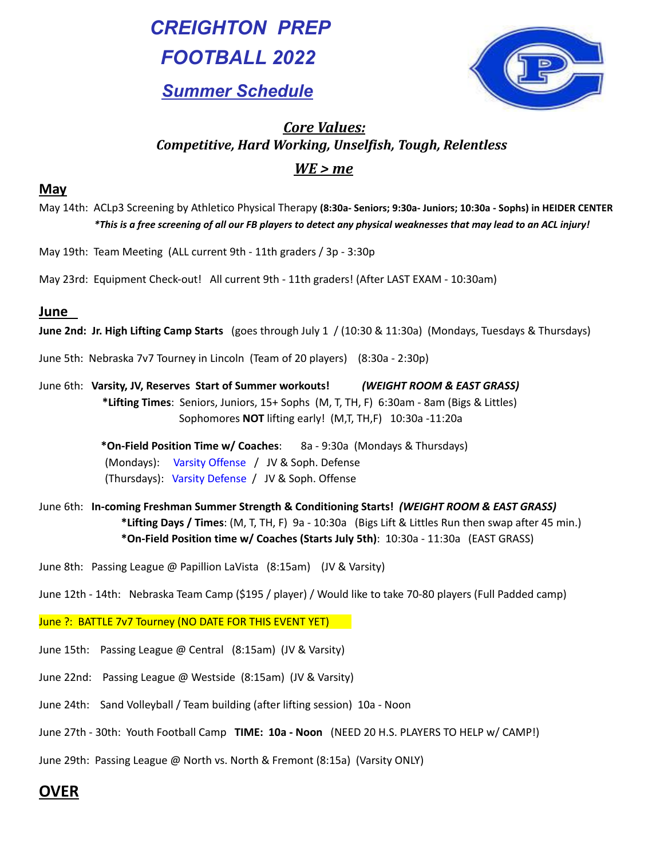*CREIGHTON PREP FOOTBALL 2022 Summer Schedule*



# *Core Values: Competitive, Hard Working, Unselfish, Tough, Relentless WE > me*

### **May**

- May 14th: ACLp3 Screening by Athletico Physical Therapy **(8:30a- Seniors; 9:30a- Juniors; 10:30a - Sophs) in HEIDER CENTER** \*This is a free screening of all our FB players to detect any physical weaknesses that may lead to an ACL injury!
- May 19th: Team Meeting (ALL current 9th 11th graders / 3p 3:30p
- May 23rd: Equipment Check-out! All current 9th 11th graders! (After LAST EXAM 10:30am)

### **June**

- **June 2nd: Jr. High Lifting Camp Starts** (goes through July 1 / (10:30 & 11:30a) (Mondays, Tuesdays & Thursdays)
- June 5th: Nebraska 7v7 Tourney in Lincoln (Team of 20 players) (8:30a 2:30p)
- June 6th: **Varsity, JV, Reserves Start of Summer workouts!** *(WEIGHT ROOM & EAST GRASS)* **\*Lifting Times**: Seniors, Juniors, 15+ Sophs (M, T, TH, F) 6:30am - 8am (Bigs & Littles) Sophomores **NOT** lifting early! (M,T, TH,F) 10:30a -11:20a
	- **\*On-Field Position Time w/ Coaches**: 8a 9:30a (Mondays & Thursdays) (Mondays): Varsity Offense / JV & Soph. Defense (Thursdays): Varsity Defense / JV & Soph. Offense
- June 6th: **In-coming Freshman Summer Strength & Conditioning Starts!** *(WEIGHT ROOM & EAST GRASS)* **\*Lifting Days / Times**: (M, T, TH, F) 9a - 10:30a (Bigs Lift & Littles Run then swap after 45 min.) **\*On-Field Position time w/ Coaches (Starts July 5th)**: 10:30a - 11:30a (EAST GRASS)
- June 8th: Passing League @ Papillion LaVista (8:15am) (JV & Varsity)
- June 12th 14th: Nebraska Team Camp (\$195 / player) / Would like to take 70-80 players (Full Padded camp)

#### June ?: BATTLE 7v7 Tourney (NO DATE FOR THIS EVENT YET)

- June 15th: Passing League @ Central (8:15am) (JV & Varsity)
- June 22nd: Passing League @ Westside (8:15am) (JV & Varsity)
- June 24th: Sand Volleyball / Team building (after lifting session) 10a Noon
- June 27th 30th: Youth Football Camp **TIME: 10a - Noon** (NEED 20 H.S. PLAYERS TO HELP w/ CAMP!)
- June 29th: Passing League @ North vs. North & Fremont (8:15a) (Varsity ONLY)

## **OVER**